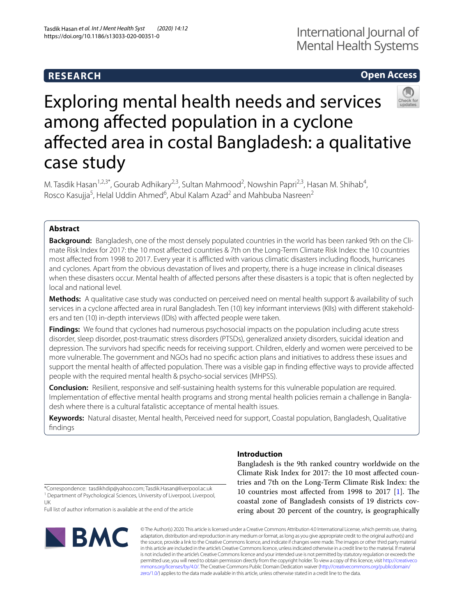## **RESEARCH**

### **Open Access**

# Exploring mental health needs and services among afected population in a cyclone afected area in costal Bangladesh: a qualitative case study

M. Tasdik Hasan<sup>1,2,3\*</sup>, Gourab Adhikary<sup>2,3</sup>, Sultan Mahmood<sup>2</sup>, Nowshin Papri<sup>2,3</sup>, Hasan M. Shihab<sup>4</sup>, Rosco Kasujja<sup>5</sup>, Helal Uddin Ahmed<sup>6</sup>, Abul Kalam Azad<sup>2</sup> and Mahbuba Nasreen<sup>2</sup>

### **Abstract**

**Background:** Bangladesh, one of the most densely populated countries in the world has been ranked 9th on the Climate Risk Index for 2017: the 10 most afected countries & 7th on the Long-Term Climate Risk Index: the 10 countries most affected from 1998 to 2017. Every year it is afflicted with various climatic disasters including floods, hurricanes and cyclones. Apart from the obvious devastation of lives and property, there is a huge increase in clinical diseases when these disasters occur. Mental health of afected persons after these disasters is a topic that is often neglected by local and national level.

**Methods:** A qualitative case study was conducted on perceived need on mental health support & availability of such services in a cyclone afected area in rural Bangladesh. Ten (10) key informant interviews (KIIs) with diferent stakeholders and ten (10) in-depth interviews (IDIs) with afected people were taken.

**Findings:** We found that cyclones had numerous psychosocial impacts on the population including acute stress disorder, sleep disorder, post-traumatic stress disorders (PTSDs), generalized anxiety disorders, suicidal ideation and depression. The survivors had specifc needs for receiving support. Children, elderly and women were perceived to be more vulnerable. The government and NGOs had no specifc action plans and initiatives to address these issues and support the mental health of afected population. There was a visible gap in fnding efective ways to provide afected people with the required mental health & psycho-social services (MHPSS).

**Conclusion:** Resilient, responsive and self-sustaining health systems for this vulnerable population are required. Implementation of efective mental health programs and strong mental health policies remain a challenge in Bangladesh where there is a cultural fatalistic acceptance of mental health issues.

**Keywords:** Natural disaster, Mental health, Perceived need for support, Coastal population, Bangladesh, Qualitative fndings

### **Introduction**

Bangladesh is the 9th ranked country worldwide on the Climate Risk Index for 2017: the 10 most afected countries and 7th on the Long-Term Climate Risk Index: the 10 countries most affected from 1998 to 2017  $[1]$  $[1]$ . The coastal zone of Bangladesh consists of 19 districts covering about 20 percent of the country, is geographically

\*Correspondence: tasdikhdip@yahoo.com; Tasdik.Hasan@liverpool.ac.uk <sup>1</sup> Department of Psychological Sciences, University of Liverpool, Liverpool, UK

Full list of author information is available at the end of the article



© The Author(s) 2020. This article is licensed under a Creative Commons Attribution 4.0 International License, which permits use, sharing, adaptation, distribution and reproduction in any medium or format, as long as you give appropriate credit to the original author(s) and the source, provide a link to the Creative Commons licence, and indicate if changes were made. The images or other third party material in this article are included in the article's Creative Commons licence, unless indicated otherwise in a credit line to the material. If material is not included in the article's Creative Commons licence and your intended use is not permitted by statutory regulation or exceeds the permitted use, you will need to obtain permission directly from the copyright holder. To view a copy of this licence, visit [http://creativeco](http://creativecommons.org/licenses/by/4.0/) [mmons.org/licenses/by/4.0/.](http://creativecommons.org/licenses/by/4.0/) The Creative Commons Public Domain Dedication waiver ([http://creativecommons.org/publicdomain/](http://creativecommons.org/publicdomain/zero/1.0/) [zero/1.0/\)](http://creativecommons.org/publicdomain/zero/1.0/) applies to the data made available in this article, unless otherwise stated in a credit line to the data.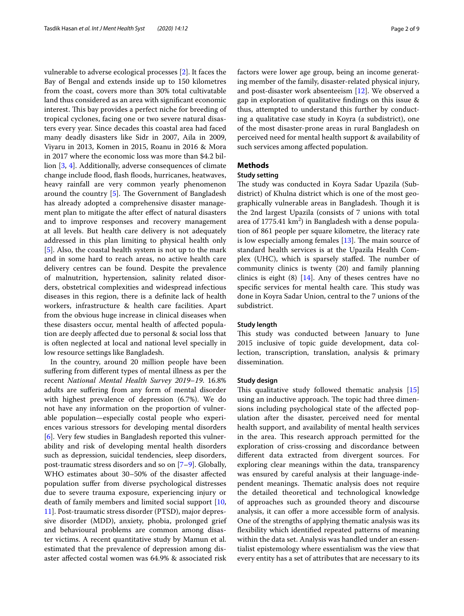vulnerable to adverse ecological processes [[2](#page-8-0)]. It faces the Bay of Bengal and extends inside up to 150 kilometres from the coast, covers more than 30% total cultivatable land thus considered as an area with signifcant economic interest. This bay provides a perfect niche for breeding of tropical cyclones, facing one or two severe natural disasters every year. Since decades this coastal area had faced many deadly disasters like Sidr in 2007, Aila in 2009, Viyaru in 2013, Komen in 2015, Roanu in 2016 & Mora in 2017 where the economic loss was more than \$4.2 billion [[3](#page-8-1), [4](#page-8-2)]. Additionally, adverse consequences of climate change include food, fash foods, hurricanes, heatwaves, heavy rainfall are very common yearly phenomenon around the country  $[5]$  $[5]$ . The Government of Bangladesh has already adopted a comprehensive disaster management plan to mitigate the after efect of natural disasters and to improve responses and recovery management at all levels. But health care delivery is not adequately addressed in this plan limiting to physical health only [[5\]](#page-8-3). Also, the coastal health system is not up to the mark and in some hard to reach areas, no active health care delivery centres can be found. Despite the prevalence of malnutrition, hypertension, salinity related disorders, obstetrical complexities and widespread infectious diseases in this region, there is a defnite lack of health workers, infrastructure & health care facilities. Apart from the obvious huge increase in clinical diseases when these disasters occur, mental health of afected population are deeply afected due to personal & social loss that is often neglected at local and national level specially in low resource settings like Bangladesh.

In the country, around 20 million people have been sufering from diferent types of mental illness as per the recent *National Mental Health Survey 2019*–*19*. 16.8% adults are sufering from any form of mental disorder with highest prevalence of depression (6.7%). We do not have any information on the proportion of vulnerable population—especially costal people who experiences various stressors for developing mental disorders [[6\]](#page-8-4). Very few studies in Bangladesh reported this vulnerability and risk of developing mental health disorders such as depression, suicidal tendencies, sleep disorders, post-traumatic stress disorders and so on [[7–](#page-8-5)[9\]](#page-8-6). Globally, WHO estimates about 30–50% of the disaster afected population sufer from diverse psychological distresses due to severe trauma exposure, experiencing injury or death of family members and limited social support [\[10](#page-8-7), [11\]](#page-8-8). Post-traumatic stress disorder (PTSD), major depressive disorder (MDD), anxiety, phobia, prolonged grief and behavioural problems are common among disaster victims. A recent quantitative study by Mamun et al. estimated that the prevalence of depression among disaster afected costal women was 64.9% & associated risk factors were lower age group, being an income generating member of the family, disaster-related physical injury, and post-disaster work absenteeism [[12\]](#page-8-9). We observed a gap in exploration of qualitative fndings on this issue & thus, attempted to understand this further by conducting a qualitative case study in Koyra (a subdistrict), one of the most disaster-prone areas in rural Bangladesh on perceived need for mental health support & availability of such services among afected population.

### **Methods**

### **Study setting**

The study was conducted in Koyra Sadar Upazila (Subdistrict) of Khulna district which is one of the most geographically vulnerable areas in Bangladesh. Though it is the 2nd largest Upazila (consists of 7 unions with total area of  $1775.41 \text{ km}^2$ ) in Bangladesh with a dense population of 861 people per square kilometre, the literacy rate is low especially among females  $[13]$  $[13]$ . The main source of standard health services is at the Upazila Health Complex (UHC), which is sparsely staffed. The number of community clinics is twenty (20) and family planning clinics is eight  $(8)$  [[14\]](#page-8-11). Any of theses centres have no specific services for mental health care. This study was done in Koyra Sadar Union, central to the 7 unions of the subdistrict.

### **Study length**

This study was conducted between January to June 2015 inclusive of topic guide development, data collection, transcription, translation, analysis & primary dissemination.

### **Study design**

This qualitative study followed thematic analysis [[15](#page-8-12)] using an inductive approach. The topic had three dimensions including psychological state of the afected population after the disaster, perceived need for mental health support, and availability of mental health services in the area. This research approach permitted for the exploration of criss-crossing and discordance between diferent data extracted from divergent sources. For exploring clear meanings within the data, transparency was ensured by careful analysis at their language-independent meanings. Thematic analysis does not require the detailed theoretical and technological knowledge of approaches such as grounded theory and discourse analysis, it can offer a more accessible form of analysis. One of the strengths of applying thematic analysis was its fexibility which identifed repeated patterns of meaning within the data set. Analysis was handled under an essentialist epistemology where essentialism was the view that every entity has a set of attributes that are necessary to its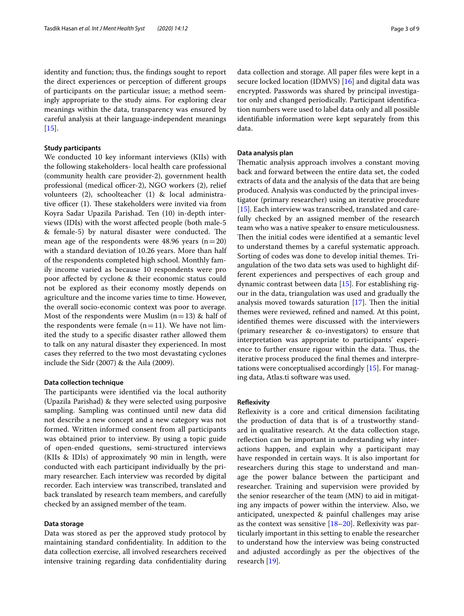identity and function; thus, the fndings sought to report the direct experiences or perception of diferent groups of participants on the particular issue; a method seemingly appropriate to the study aims. For exploring clear meanings within the data, transparency was ensured by careful analysis at their language-independent meanings  $[15]$  $[15]$ .

### **Study participants**

We conducted 10 key informant interviews (KIIs) with the following stakeholders- local health care professional (community health care provider-2), government health professional (medical officer-2), NGO workers (2), relief volunteers (2), schoolteacher (1) & local administrative officer  $(1)$ . These stakeholders were invited via from Koyra Sadar Upazila Parishad. Ten (10) in-depth interviews (IDIs) with the worst afected people (both male-5 & female-5) by natural disaster were conducted. The mean age of the respondents were 48.96 years  $(n=20)$ with a standard deviation of 10.26 years. More than half of the respondents completed high school. Monthly family income varied as because 10 respondents were pro poor afected by cyclone & their economic status could not be explored as their economy mostly depends on agriculture and the income varies time to time. However, the overall socio-economic context was poor to average. Most of the respondents were Muslim  $(n=13)$  & half of the respondents were female  $(n=11)$ . We have not limited the study to a specifc disaster rather allowed them to talk on any natural disaster they experienced. In most cases they referred to the two most devastating cyclones include the Sidr (2007) & the Aila (2009).

### **Data collection technique**

The participants were identified via the local authority (Upazila Parishad) & they were selected using purposive sampling. Sampling was continued until new data did not describe a new concept and a new category was not formed. Written informed consent from all participants was obtained prior to interview. By using a topic guide of open-ended questions, semi-structured interviews (KIIs & IDIs) of approximately 90 min in length, were conducted with each participant individually by the primary researcher. Each interview was recorded by digital recorder. Each interview was transcribed, translated and back translated by research team members, and carefully checked by an assigned member of the team.

### **Data storage**

Data was stored as per the approved study protocol by maintaining standard confdentiality. In addition to the data collection exercise, all involved researchers received intensive training regarding data confidentiality during data collection and storage. All paper fles were kept in a secure locked location (IDMVS) [\[16\]](#page-8-13) and digital data was encrypted. Passwords was shared by principal investigator only and changed periodically. Participant identifcation numbers were used to label data only and all possible identifable information were kept separately from this data.

### **Data analysis plan**

Thematic analysis approach involves a constant moving back and forward between the entire data set, the coded extracts of data and the analysis of the data that are being produced. Analysis was conducted by the principal investigator (primary researcher) using an iterative procedure [[15\]](#page-8-12). Each interview was transcribed, translated and carefully checked by an assigned member of the research team who was a native speaker to ensure meticulousness. Then the initial codes were identified at a semantic level to understand themes by a careful systematic approach. Sorting of codes was done to develop initial themes. Triangulation of the two data sets was used to highlight different experiences and perspectives of each group and dynamic contrast between data [[15\]](#page-8-12). For establishing rigour in the data, triangulation was used and gradually the analysis moved towards saturation  $[17]$  $[17]$ . Then the initial themes were reviewed, refned and named. At this point, identifed themes were discussed with the interviewers (primary researcher & co-investigators) to ensure that interpretation was appropriate to participants' experience to further ensure rigour within the data. Thus, the iterative process produced the fnal themes and interpretations were conceptualised accordingly [[15](#page-8-12)]. For managing data, Atlas.ti software was used.

### **Refexivity**

Refexivity is a core and critical dimension facilitating the production of data that is of a trustworthy standard in qualitative research. At the data collection stage, reflection can be important in understanding why interactions happen, and explain why a participant may have responded in certain ways. It is also important for researchers during this stage to understand and manage the power balance between the participant and researcher. Training and supervision were provided by the senior researcher of the team (MN) to aid in mitigating any impacts of power within the interview. Also, we anticipated, unexpected & painful challenges may arise as the context was sensitive  $[18–20]$  $[18–20]$  $[18–20]$ . Reflexivity was particularly important in this setting to enable the researcher to understand how the interview was being constructed and adjusted accordingly as per the objectives of the research [[19\]](#page-8-17).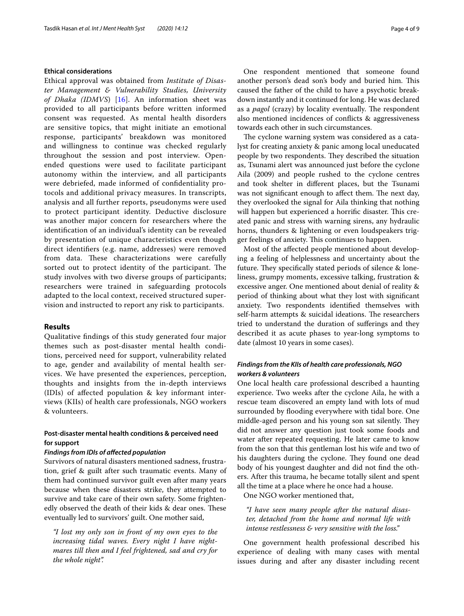### **Ethical considerations**

Ethical approval was obtained from *Institute of Disaster Management & Vulnerability Studies, University of Dhaka (IDMVS*) [[16](#page-8-13)]. An information sheet was provided to all participants before written informed consent was requested. As mental health disorders are sensitive topics, that might initiate an emotional response, participants' breakdown was monitored and willingness to continue was checked regularly throughout the session and post interview. Openended questions were used to facilitate participant autonomy within the interview, and all participants were debriefed, made informed of confdentiality protocols and additional privacy measures. In transcripts, analysis and all further reports, pseudonyms were used to protect participant identity. Deductive disclosure was another major concern for researchers where the identifcation of an individual's identity can be revealed by presentation of unique characteristics even though direct identifers (e.g. name, addresses) were removed from data. These characterizations were carefully sorted out to protect identity of the participant. The study involves with two diverse groups of participants; researchers were trained in safeguarding protocols adapted to the local context, received structured supervision and instructed to report any risk to participants.

### **Results**

Qualitative fndings of this study generated four major themes such as post-disaster mental health conditions, perceived need for support, vulnerability related to age, gender and availability of mental health services. We have presented the experiences, perception, thoughts and insights from the in-depth interviews (IDIs) of afected population & key informant interviews (KIIs) of health care professionals, NGO workers & volunteers.

### **Post‑disaster mental health conditions & perceived need for support**

### *Findings from IDIs of afected population*

Survivors of natural disasters mentioned sadness, frustration, grief & guilt after such traumatic events. Many of them had continued survivor guilt even after many years because when these disasters strike, they attempted to survive and take care of their own safety. Some frightenedly observed the death of their kids & dear ones. These eventually led to survivors' guilt. One mother said,

*"I lost my only son in front of my own eyes to the increasing tidal waves. Every night I have nightmares till then and I feel frightened, sad and cry for the whole night".*

One respondent mentioned that someone found another person's dead son's body and buried him. This caused the father of the child to have a psychotic breakdown instantly and it continued for long. He was declared as a *pagol* (crazy) by locality eventually. The respondent also mentioned incidences of conficts & aggressiveness towards each other in such circumstances.

The cyclone warning system was considered as a catalyst for creating anxiety & panic among local uneducated people by two respondents. They described the situation as, Tsunami alert was announced just before the cyclone Aila (2009) and people rushed to the cyclone centres and took shelter in diferent places, but the Tsunami was not significant enough to affect them. The next day, they overlooked the signal for Aila thinking that nothing will happen but experienced a horrific disaster. This created panic and stress with warning sirens, any hydraulic horns, thunders & lightening or even loudspeakers trigger feelings of anxiety. This continues to happen.

Most of the afected people mentioned about developing a feeling of helplessness and uncertainty about the future. They specifically stated periods of silence & loneliness, grumpy moments, excessive talking, frustration & excessive anger. One mentioned about denial of reality & period of thinking about what they lost with signifcant anxiety. Two respondents identifed themselves with self-harm attempts & suicidal ideations. The researchers tried to understand the duration of suferings and they described it as acute phases to year-long symptoms to date (almost 10 years in some cases).

### *Findings from the KIIs of health care professionals, NGO workers & volunteers*

One local health care professional described a haunting experience. Two weeks after the cyclone Aila, he with a rescue team discovered an empty land with lots of mud surrounded by flooding everywhere with tidal bore. One middle-aged person and his young son sat silently. They did not answer any question just took some foods and water after repeated requesting. He later came to know from the son that this gentleman lost his wife and two of his daughters during the cyclone. They found one dead body of his youngest daughter and did not fnd the others. After this trauma, he became totally silent and spent all the time at a place where he once had a house.

One NGO worker mentioned that,

*"I have seen many people after the natural disaster, detached from the home and normal life with intense restlessness & very sensitive with the loss."*

One government health professional described his experience of dealing with many cases with mental issues during and after any disaster including recent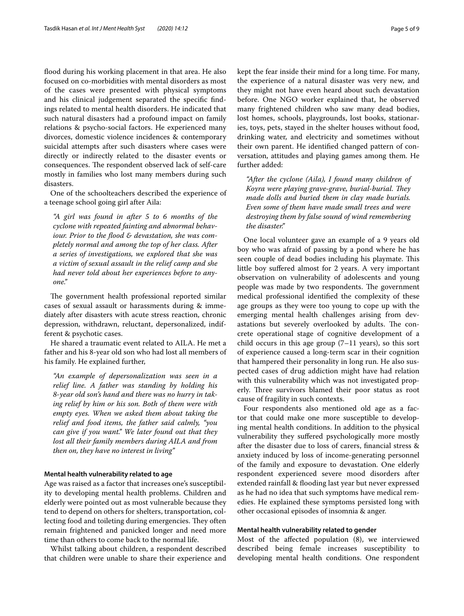flood during his working placement in that area. He also focused on co-morbidities with mental disorders as most of the cases were presented with physical symptoms and his clinical judgement separated the specifc fndings related to mental health disorders. He indicated that such natural disasters had a profound impact on family relations & psycho-social factors. He experienced many divorces, domestic violence incidences & contemporary suicidal attempts after such disasters where cases were directly or indirectly related to the disaster events or consequences. The respondent observed lack of self-care mostly in families who lost many members during such disasters.

One of the schoolteachers described the experience of a teenage school going girl after Aila:

*"A girl was found in after 5 to 6 months of the cyclone with repeated fainting and abnormal behaviour. Prior to the food & devastation, she was completely normal and among the top of her class. After a series of investigations, we explored that she was a victim of sexual assault in the relief camp and she had never told about her experiences before to anyone."*

The government health professional reported similar cases of sexual assault or harassments during & immediately after disasters with acute stress reaction, chronic depression, withdrawn, reluctant, depersonalized, indifferent & psychotic cases.

He shared a traumatic event related to AILA. He met a father and his 8-year old son who had lost all members of his family. He explained further,

*"An example of depersonalization was seen in a relief line. A father was standing by holding his 8-year old son's hand and there was no hurry in taking relief by him or his son. Both of them were with empty eyes. When we asked them about taking the relief and food items, the father said calmly, "you can give if you want." We later found out that they lost all their family members during AILA and from then on, they have no interest in living"*

### **Mental health vulnerability related to age**

Age was raised as a factor that increases one's susceptibility to developing mental health problems. Children and elderly were pointed out as most vulnerable because they tend to depend on others for shelters, transportation, collecting food and toileting during emergencies. They often remain frightened and panicked longer and need more time than others to come back to the normal life.

Whilst talking about children, a respondent described that children were unable to share their experience and kept the fear inside their mind for a long time. For many, the experience of a natural disaster was very new, and they might not have even heard about such devastation before. One NGO worker explained that, he observed many frightened children who saw many dead bodies, lost homes, schools, playgrounds, lost books, stationaries, toys, pets, stayed in the shelter houses without food, drinking water, and electricity and sometimes without their own parent. He identifed changed pattern of conversation, attitudes and playing games among them. He further added:

*"After the cyclone (Aila), I found many children of Koyra were playing grave-grave, burial-burial. They made dolls and buried them in clay made burials. Even some of them have made small trees and were destroying them by false sound of wind remembering the disaster."*

One local volunteer gave an example of a 9 years old boy who was afraid of passing by a pond where he has seen couple of dead bodies including his playmate. This little boy sufered almost for 2 years. A very important observation on vulnerability of adolescents and young people was made by two respondents. The government medical professional identifed the complexity of these age groups as they were too young to cope up with the emerging mental health challenges arising from devastations but severely overlooked by adults. The concrete operational stage of cognitive development of a child occurs in this age group  $(7-11$  years), so this sort of experience caused a long-term scar in their cognition that hampered their personality in long run. He also suspected cases of drug addiction might have had relation with this vulnerability which was not investigated properly. Three survivors blamed their poor status as root cause of fragility in such contexts.

Four respondents also mentioned old age as a factor that could make one more susceptible to developing mental health conditions. In addition to the physical vulnerability they sufered psychologically more mostly after the disaster due to loss of carers, fnancial stress & anxiety induced by loss of income-generating personnel of the family and exposure to devastation. One elderly respondent experienced severe mood disorders after extended rainfall & flooding last year but never expressed as he had no idea that such symptoms have medical remedies. He explained these symptoms persisted long with other occasional episodes of insomnia & anger.

### **Mental health vulnerability related to gender**

Most of the afected population (8), we interviewed described being female increases susceptibility to developing mental health conditions. One respondent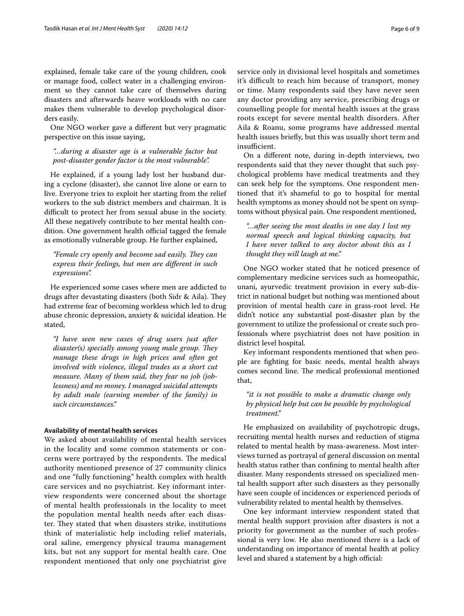explained, female take care of the young children, cook or manage food, collect water in a challenging environment so they cannot take care of themselves during disasters and afterwards heave workloads with no care makes them vulnerable to develop psychological disorders easily.

One NGO worker gave a diferent but very pragmatic perspective on this issue saying,

### *"…during a disaster age is a vulnerable factor but post-disaster gender factor is the most vulnerable".*

He explained, if a young lady lost her husband during a cyclone (disaster), she cannot live alone or earn to live. Everyone tries to exploit her starting from the relief workers to the sub district members and chairman. It is difficult to protect her from sexual abuse in the society. All these negatively contribute to her mental health condition. One government health official tagged the female as emotionally vulnerable group. He further explained,

### "Female cry openly and become sad easily. They can *express their feelings, but men are diferent in such expressions".*

He experienced some cases where men are addicted to drugs after devastating disasters (both Sidr & Aila). They had extreme fear of becoming workless which led to drug abuse chronic depression, anxiety & suicidal ideation. He stated,

*"I have seen new cases of drug users just after disaster(s) specially among young male group. They manage these drugs in high prices and often get involved with violence, illegal trades as a short cut measure. Many of them said, they fear no job (joblessness) and no money. I managed suicidal attempts by adult male (earning member of the family) in such circumstances."*

### **Availability of mental health services**

We asked about availability of mental health services in the locality and some common statements or concerns were portrayed by the respondents. The medical authority mentioned presence of 27 community clinics and one "fully functioning" health complex with health care services and no psychiatrist. Key informant interview respondents were concerned about the shortage of mental health professionals in the locality to meet the population mental health needs after each disaster. They stated that when disasters strike, institutions think of materialistic help including relief materials, oral saline, emergency physical trauma management kits, but not any support for mental health care. One respondent mentioned that only one psychiatrist give service only in divisional level hospitals and sometimes it's difficult to reach him because of transport, money or time. Many respondents said they have never seen any doctor providing any service, prescribing drugs or counselling people for mental health issues at the grass roots except for severe mental health disorders. After Aila & Roanu, some programs have addressed mental health issues briefy, but this was usually short term and insufficient.

On a diferent note, during in-depth interviews, two respondents said that they never thought that such psychological problems have medical treatments and they can seek help for the symptoms. One respondent mentioned that it's shameful to go to hospital for mental health symptoms as money should not be spent on symptoms without physical pain. One respondent mentioned,

*"…after seeing the most deaths in one day I lost my normal speech and logical thinking capacity, but I have never talked to any doctor about this as I thought they will laugh at me."*

One NGO worker stated that he noticed presence of complementary medicine services such as homeopathic, unani, ayurvedic treatment provision in every sub-district in national budget but nothing was mentioned about provision of mental health care in grass-root level. He didn't notice any substantial post-disaster plan by the government to utilize the professional or create such professionals where psychiatrist does not have position in district level hospital.

Key informant respondents mentioned that when people are fghting for basic needs, mental health always comes second line. The medical professional mentioned that,

### *"it is not possible to make a dramatic change only by physical help but can be possible by psychological treatment."*

He emphasized on availability of psychotropic drugs, recruiting mental health nurses and reduction of stigma related to mental health by mass-awareness. Most interviews turned as portrayal of general discussion on mental health status rather than confning to mental health after disaster. Many respondents stressed on specialized mental health support after such disasters as they personally have seen couple of incidences or experienced periods of vulnerability related to mental health by themselves.

One key informant interview respondent stated that mental health support provision after disasters is not a priority for government as the number of such professional is very low. He also mentioned there is a lack of understanding on importance of mental health at policy level and shared a statement by a high official: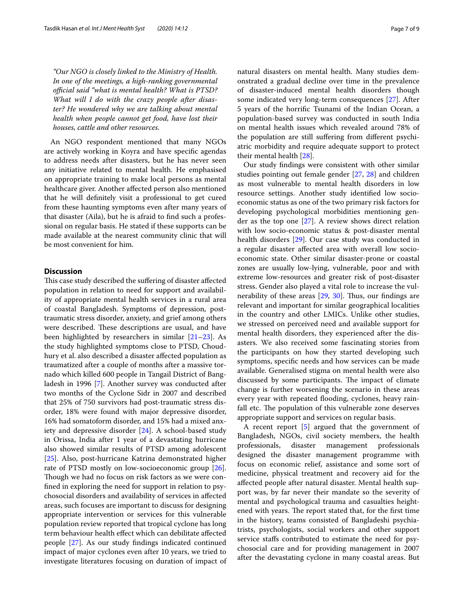*"Our NGO is closely linked to the Ministry of Health. In one of the meetings, a high-ranking governmental*  official said "what is mental health? What is PTSD? *What will I do with the crazy people after disaster? He wondered why we are talking about mental health when people cannot get food, have lost their houses, cattle and other resources.*

An NGO respondent mentioned that many NGOs are actively working in Koyra and have specifc agendas to address needs after disasters, but he has never seen any initiative related to mental health. He emphasised on appropriate training to make local persons as mental healthcare giver. Another afected person also mentioned that he will defnitely visit a professional to get cured from these haunting symptoms even after many years of that disaster (Aila), but he is afraid to fnd such a professional on regular basis. He stated if these supports can be made available at the nearest community clinic that will be most convenient for him.

### **Discussion**

This case study described the suffering of disaster affected population in relation to need for support and availability of appropriate mental health services in a rural area of coastal Bangladesh. Symptoms of depression, posttraumatic stress disorder, anxiety, and grief among others were described. These descriptions are usual, and have been highlighted by researchers in similar [\[21](#page-8-18)[–23\]](#page-8-19). As the study highlighted symptoms close to PTSD, Choudhury et al. also described a disaster afected population as traumatized after a couple of months after a massive tornado which killed 600 people in Tangail District of Bangladesh in 1996 [\[7](#page-8-5)]. Another survey was conducted after two months of the Cyclone Sidr in 2007 and described that 25% of 750 survivors had post-traumatic stress disorder, 18% were found with major depressive disorder, 16% had somatoform disorder, and 15% had a mixed anxiety and depressive disorder [\[24](#page-8-20)]. A school-based study in Orissa, India after 1 year of a devastating hurricane also showed similar results of PTSD among adolescent [[25\]](#page-8-21). Also, post-hurricane Katrina demonstrated higher rate of PTSD mostly on low-socioeconomic group [\[26](#page-8-22)]. Though we had no focus on risk factors as we were confned in exploring the need for support in relation to psychosocial disorders and availability of services in afected areas, such focuses are important to discuss for designing appropriate intervention or services for this vulnerable population review reported that tropical cyclone has long term behaviour health efect which can debilitate afected people [\[27](#page-8-23)]. As our study fndings indicated continued impact of major cyclones even after 10 years, we tried to investigate literatures focusing on duration of impact of natural disasters on mental health. Many studies demonstrated a gradual decline over time in the prevalence of disaster-induced mental health disorders though some indicated very long-term consequences [[27\]](#page-8-23). After 5 years of the horrifc Tsunami of the Indian Ocean, a population-based survey was conducted in south India on mental health issues which revealed around 78% of the population are still sufering from diferent psychiatric morbidity and require adequate support to protect their mental health [\[28](#page-8-24)].

Our study fndings were consistent with other similar studies pointing out female gender [\[27](#page-8-23), [28](#page-8-24)] and children as most vulnerable to mental health disorders in low resource settings. Another study identifed low socioeconomic status as one of the two primary risk factors for developing psychological morbidities mentioning gender as the top one [\[27\]](#page-8-23). A review shows direct relation with low socio-economic status & post-disaster mental health disorders [[29](#page-8-25)]. Our case study was conducted in a regular disaster afected area with overall low socioeconomic state. Other similar disaster-prone or coastal zones are usually low-lying, vulnerable, poor and with extreme low-resources and greater risk of post-disaster stress. Gender also played a vital role to increase the vulnerability of these areas  $[29, 30]$  $[29, 30]$  $[29, 30]$ . Thus, our findings are relevant and important for similar geographical localities in the country and other LMICs. Unlike other studies, we stressed on perceived need and available support for mental health disorders, they experienced after the disasters. We also received some fascinating stories from the participants on how they started developing such symptoms, specifc needs and how services can be made available. Generalised stigma on mental health were also discussed by some participants. The impact of climate change is further worsening the scenario in these areas every year with repeated flooding, cyclones, heavy rainfall etc. The population of this vulnerable zone deserves appropriate support and services on regular basis.

A recent report [[5\]](#page-8-3) argued that the government of Bangladesh, NGOs, civil society members, the health professionals, disaster management professionals designed the disaster management programme with focus on economic relief, assistance and some sort of medicine, physical treatment and recovery aid for the afected people after natural disaster. Mental health support was, by far never their mandate so the severity of mental and psychological trauma and casualties heightened with years. The report stated that, for the first time in the history, teams consisted of Bangladeshi psychiatrists, psychologists, social workers and other support service stafs contributed to estimate the need for psychosocial care and for providing management in 2007 after the devastating cyclone in many coastal areas. But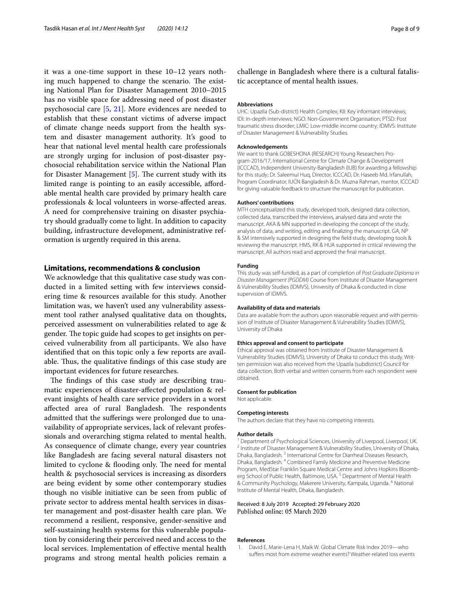it was a one-time support in these 10–12 years nothing much happened to change the scenario. The existing National Plan for Disaster Management 2010–2015 has no visible space for addressing need of post disaster psychosocial care [[5,](#page-8-3) [21\]](#page-8-18). More evidences are needed to establish that these constant victims of adverse impact of climate change needs support from the health system and disaster management authority. It's good to hear that national level mental health care professionals are strongly urging for inclusion of post-disaster psychosocial rehabilitation service within the National Plan for Disaster Management  $[5]$  $[5]$  $[5]$ . The current study with its limited range is pointing to an easily accessible, afordable mental health care provided by primary health care professionals & local volunteers in worse-afected areas. A need for comprehensive training on disaster psychiatry should gradually come to light. In addition to capacity building, infrastructure development, administrative reformation is urgently required in this arena.

### **Limitations, recommendations & conclusion**

We acknowledge that this qualitative case study was conducted in a limited setting with few interviews considering time & resources available for this study. Another limitation was, we haven't used any vulnerability assessment tool rather analysed qualitative data on thoughts, perceived assessment on vulnerabilities related to age & gender. The topic guide had scopes to get insights on perceived vulnerability from all participants. We also have identifed that on this topic only a few reports are available. Thus, the qualitative findings of this case study are important evidences for future researches.

The findings of this case study are describing traumatic experiences of disaster-afected population & relevant insights of health care service providers in a worst affected area of rural Bangladesh. The respondents admitted that the suferings were prolonged due to unavailability of appropriate services, lack of relevant professionals and overarching stigma related to mental health. As consequence of climate change, every year countries like Bangladesh are facing several natural disasters not limited to cyclone & flooding only. The need for mental health & psychosocial services is increasing as disorders are being evident by some other contemporary studies though no visible initiative can be seen from public of private sector to address mental health services in disaster management and post-disaster health care plan. We recommend a resilient, responsive, gender-sensitive and self-sustaining health systems for this vulnerable population by considering their perceived need and access to the local services. Implementation of efective mental health programs and strong mental health policies remain a

challenge in Bangladesh where there is a cultural fatalistic acceptance of mental health issues.

### **Abbreviations**

UHC: Upazila (Sub-district) Health Complex; KII: Key informant interviews; IDI: In-depth interviews; NGO: Non-Government Organisation; PTSD: Post traumatic stress disorder; LMIC: Low-middle income country; IDMVS: Institute of Disaster Management & Vulnerability Studies.

#### **Acknowledgements**

We want to thank GOBESHONA (RESEARCH) Young Researchers Program-2016/17, International Centre for Climate Change & Development (ICCCAD), Independent University-Bangladesh (IUB) for awarding a fellowship for this study; Dr. Saleemul Huq, Director, ICCCAD, Dr. Haseeb Md. Irfanullah, Program Coordinator, IUCN Bangladesh & Dr. Muzna Rahman, mentor, ICCCAD for giving valuable feedback to structure the manuscript for publication.

#### **Authors' contributions**

MTH conceptualized this study, developed tools, designed data collection, collected data, transcribed the interviews, analysed data and wrote the manuscript. AKA & MN supported in developing the concept of the study, analysis of data, and writing, editing and fnalizing the manuscript. GA, NP & SM intensively supported in designing the feld study, developing tools & reviewing the manuscript. HMS, RK & HUA supported in critical reviewing the manuscript. All authors read and approved the fnal manuscript.

#### **Funding**

This study was self-funded, as a part of completion of *Post Graduate Diploma in Disaster Management (PGDDM)* Course from Institute of Disaster Management & Vulnerability Studies (IDMVS), University of Dhaka & conducted in close supervision of IDMVS.

#### **Availability of data and materials**

Data are available from the authors upon reasonable request and with permission of Institute of Disaster Management & Vulnerability Studies (IDMVS), University of Dhaka

#### **Ethics approval and consent to participate**

Ethical approval was obtained from Institute of Disaster Management & Vulnerability Studies (IDMVS), University of Dhaka to conduct this study. Written permission was also received from the Upazila (subdistrict) Council for data collection. Both verbal and written consents from each respondent were obtained.

#### **Consent for publication**

Not applicable.

#### **Competing interests**

The authors declare that they have no competing interests.

#### **Author details**

<sup>1</sup> Department of Psychological Sciences, University of Liverpool, Liverpool, UK.<br><sup>2</sup> Institute of Disaster Management & Vulnerability Studies, University of Dhaka, Dhaka, Bangladesh. <sup>3</sup> International Centre for Diarrheal Diseases Research, Dhaka, Bangladesh. 4 Combined Family Medicine and Preventive Medicine Program, MedStar Franklin Square Medical Centre and Johns Hopkins Bloomberg School of Public Health, Baltimore, USA.<sup>5</sup> Department of Mental Health & Community Psychology, Makerere University, Kampala, Uganda. 6 National Institute of Mental Health, Dhaka, Bangladesh.

### Received: 8 July 2019 Accepted: 29 February 2020 Published online: 05 March 2020

### **References**

<span id="page-7-0"></span>David E, Marie-Lena H, Maik W. Global Climate Risk Index 2019—who sufers most from extreme weather events? Weather-related loss events